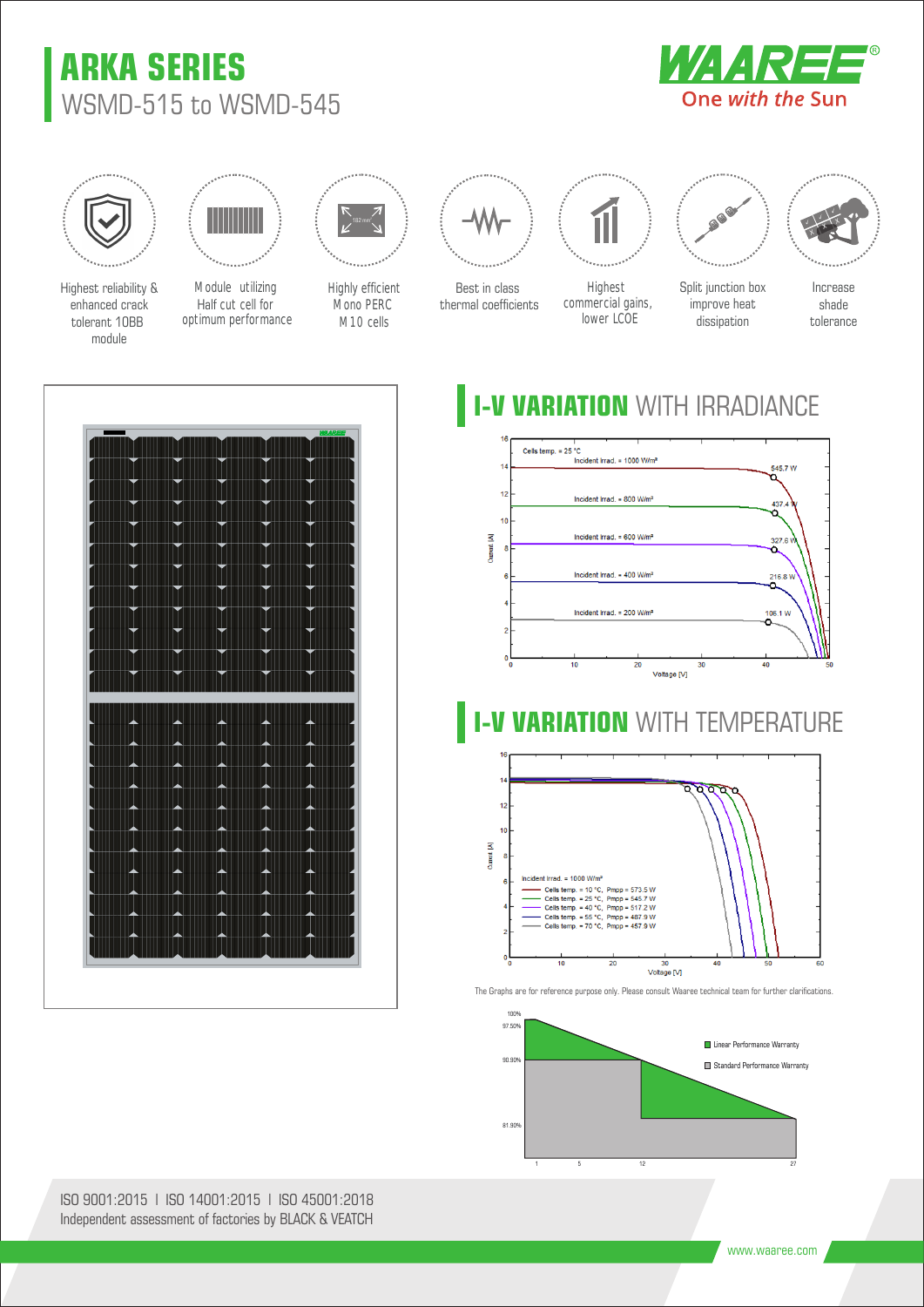# **ARKA SERIES** WSMD-515 to WSMD-545





Highest reliability & enhanced crack tolerant 10BB module



optimum performance Module utilizing Half cut cell for



Highly efficient Mono PERC M10 cells



Best in class thermal coefficients



Highest commercial gains, lower LCOE



Split junction box improve heat dissipation



Increase shade tolerance

# **I-V VARIATION** WITH IRRADIANCE



#### **VARIATION WITH TEMPERATURE**